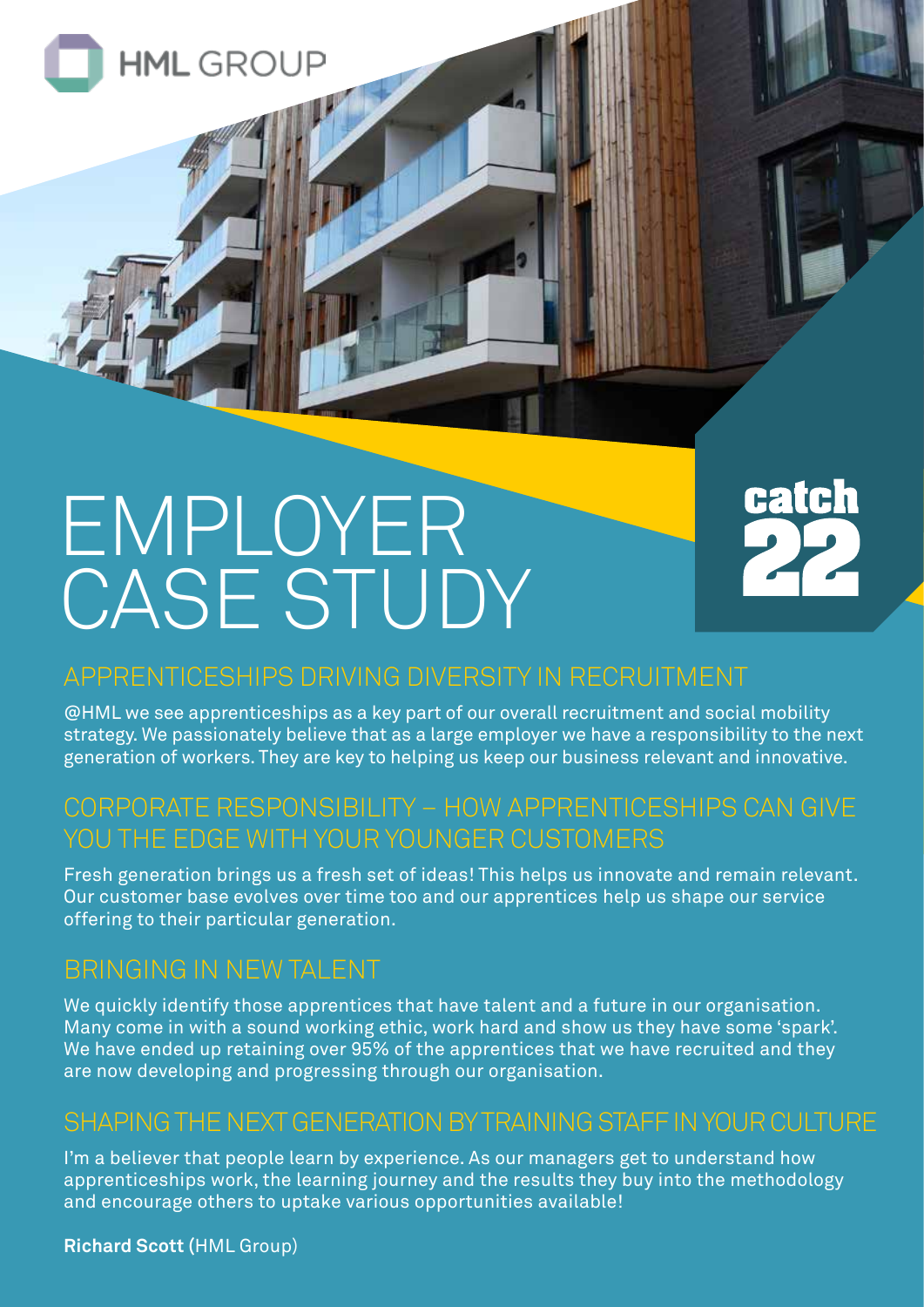

**HML** GROUP



# APPRENTICESHIPS DRIVING DIVERSITY IN RECRUITMENT

@HML we see apprenticeships as a key part of our overall recruitment and social mobility strategy. We passionately believe that as a large employer we have a responsibility to the next generation of workers. They are key to helping us keep our business relevant and innovative.

# CORPORATE RESPONSIBILITY – HOW APPRENTICESHIPS CAN GIVE YOU THE EDGE WITH YOUR YOUNGER CUSTOMERS

Fresh generation brings us a fresh set of ideas! This helps us innovate and remain relevant. Our customer base evolves over time too and our apprentices help us shape our service offering to their particular generation.

# BRINGING IN NEW TALENT

We quickly identify those apprentices that have talent and a future in our organisation. Many come in with a sound working ethic, work hard and show us they have some 'spark'. We have ended up retaining over 95% of the apprentices that we have recruited and they are now developing and progressing through our organisation.

#### SHAPING THE NEXT GENERATION BY TRAINING STAFF IN YOUR CULTURE

I'm a believer that people learn by experience. As our managers get to understand how apprenticeships work, the learning journey and the results they buy into the methodology and encourage others to uptake various opportunities available!

**Richard Scott (**HML Group)